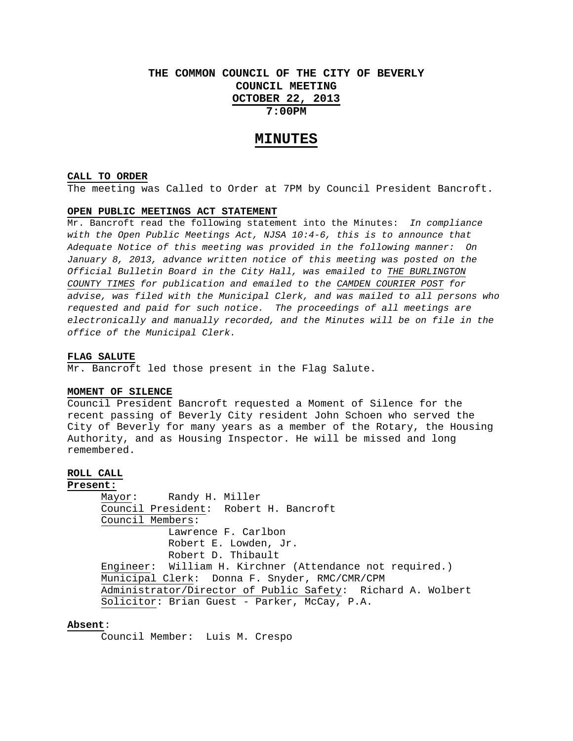## **THE COMMON COUNCIL OF THE CITY OF BEVERLY COUNCIL MEETING OCTOBER 22, 2013 7:00PM**

## **MINUTES**

#### **CALL TO ORDER**

The meeting was Called to Order at 7PM by Council President Bancroft.

### **OPEN PUBLIC MEETINGS ACT STATEMENT**

Mr. Bancroft read the following statement into the Minutes: *In compliance with the Open Public Meetings Act, NJSA 10:4-6, this is to announce that Adequate Notice of this meeting was provided in the following manner: On January 8, 2013, advance written notice of this meeting was posted on the Official Bulletin Board in the City Hall, was emailed to THE BURLINGTON COUNTY TIMES for publication and emailed to the CAMDEN COURIER POST for advise, was filed with the Municipal Clerk, and was mailed to all persons who requested and paid for such notice. The proceedings of all meetings are electronically and manually recorded, and the Minutes will be on file in the office of the Municipal Clerk.* 

#### **FLAG SALUTE**

Mr. Bancroft led those present in the Flag Salute.

#### **MOMENT OF SILENCE**

Council President Bancroft requested a Moment of Silence for the recent passing of Beverly City resident John Schoen who served the City of Beverly for many years as a member of the Rotary, the Housing Authority, and as Housing Inspector. He will be missed and long remembered.

## **ROLL CALL**

**Present:** Mayor: Randy H. Miller Council President: Robert H. Bancroft Council Members: Lawrence F. Carlbon Robert E. Lowden, Jr. Robert D. Thibault Engineer: William H. Kirchner (Attendance not required.) Municipal Clerk: Donna F. Snyder, RMC/CMR/CPM Administrator/Director of Public Safety: Richard A. Wolbert Solicitor: Brian Guest - Parker, McCay, P.A.

## **Absent**:

Council Member: Luis M. Crespo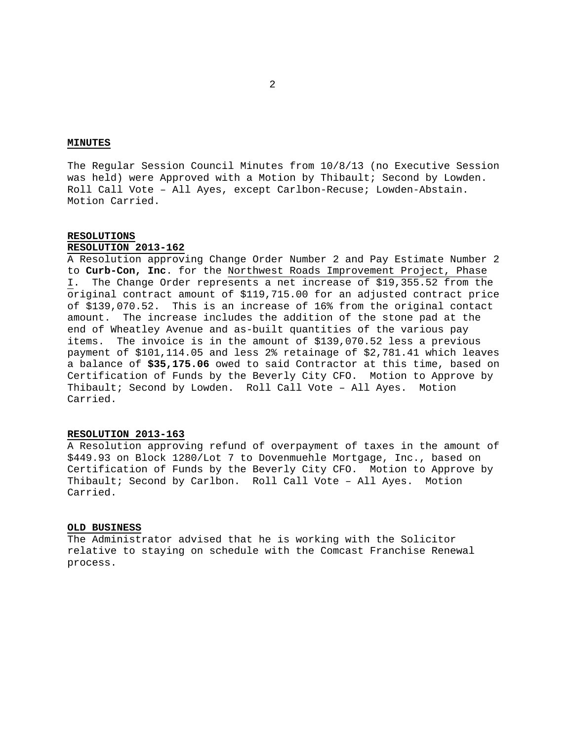## **MINUTES**

The Regular Session Council Minutes from 10/8/13 (no Executive Session was held) were Approved with a Motion by Thibault; Second by Lowden. Roll Call Vote – All Ayes, except Carlbon-Recuse; Lowden-Abstain. Motion Carried.

## **RESOLUTIONS**

## **RESOLUTION 2013-162**

A Resolution approving Change Order Number 2 and Pay Estimate Number 2 to **Curb-Con, Inc**. for the Northwest Roads Improvement Project, Phase I. The Change Order represents a net increase of \$19,355.52 from the original contract amount of \$119,715.00 for an adjusted contract price of \$139,070.52. This is an increase of 16% from the original contact amount. The increase includes the addition of the stone pad at the end of Wheatley Avenue and as-built quantities of the various pay items. The invoice is in the amount of \$139,070.52 less a previous payment of \$101,114.05 and less 2% retainage of \$2,781.41 which leaves a balance of **\$35,175.06** owed to said Contractor at this time, based on Certification of Funds by the Beverly City CFO. Motion to Approve by Thibault; Second by Lowden. Roll Call Vote – All Ayes. Motion Carried.

#### **RESOLUTION 2013-163**

A Resolution approving refund of overpayment of taxes in the amount of \$449.93 on Block 1280/Lot 7 to Dovenmuehle Mortgage, Inc., based on Certification of Funds by the Beverly City CFO. Motion to Approve by Thibault; Second by Carlbon. Roll Call Vote – All Ayes. Motion Carried.

#### **OLD BUSINESS**

The Administrator advised that he is working with the Solicitor relative to staying on schedule with the Comcast Franchise Renewal process.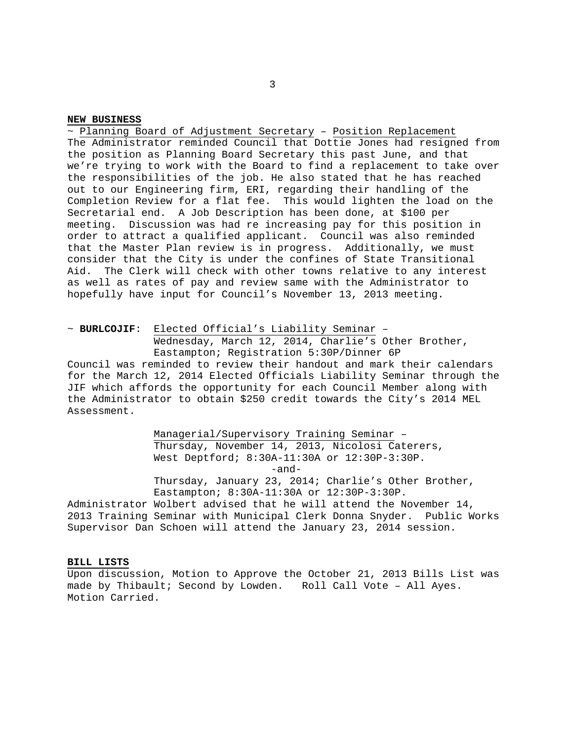### **NEW BUSINESS**

~ Planning Board of Adjustment Secretary – Position Replacement The Administrator reminded Council that Dottie Jones had resigned from the position as Planning Board Secretary this past June, and that we're trying to work with the Board to find a replacement to take over the responsibilities of the job. He also stated that he has reached out to our Engineering firm, ERI, regarding their handling of the Completion Review for a flat fee. This would lighten the load on the Secretarial end. A Job Description has been done, at \$100 per meeting. Discussion was had re increasing pay for this position in order to attract a qualified applicant. Council was also reminded that the Master Plan review is in progress. Additionally, we must consider that the City is under the confines of State Transitional Aid. The Clerk will check with other towns relative to any interest as well as rates of pay and review same with the Administrator to hopefully have input for Council's November 13, 2013 meeting.

~ **BURLCOJIF**: Elected Official's Liability Seminar – Wednesday, March 12, 2014, Charlie's Other Brother, Eastampton; Registration 5:30P/Dinner 6P

Council was reminded to review their handout and mark their calendars for the March 12, 2014 Elected Officials Liability Seminar through the JIF which affords the opportunity for each Council Member along with the Administrator to obtain \$250 credit towards the City's 2014 MEL Assessment.

> Managerial/Supervisory Training Seminar – Thursday, November 14, 2013, Nicolosi Caterers, West Deptford; 8:30A-11:30A or 12:30P-3:30P. -and- Thursday, January 23, 2014; Charlie's Other Brother, Eastampton; 8:30A-11:30A or 12:30P-3:30P.

Administrator Wolbert advised that he will attend the November 14, 2013 Training Seminar with Municipal Clerk Donna Snyder. Public Works Supervisor Dan Schoen will attend the January 23, 2014 session.

## **BILL LISTS**

Upon discussion, Motion to Approve the October 21, 2013 Bills List was made by Thibault; Second by Lowden. Roll Call Vote – All Ayes. Motion Carried.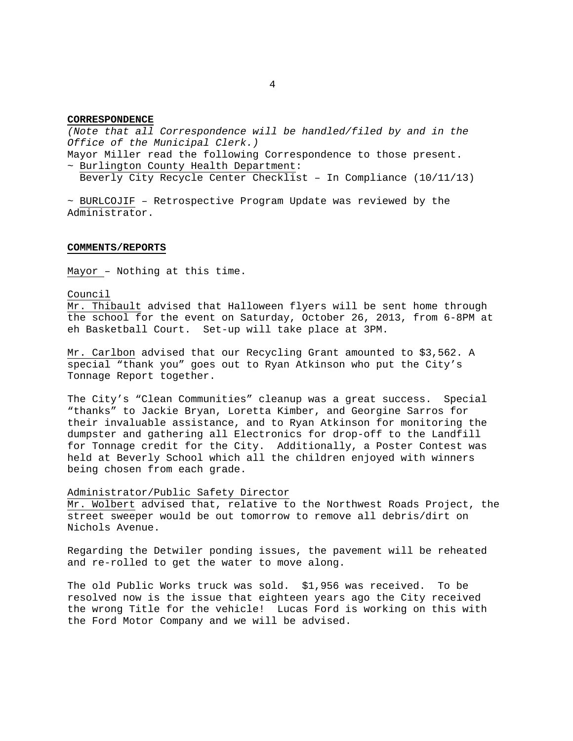### **CORRESPONDENCE**

*(Note that all Correspondence will be handled/filed by and in the Office of the Municipal Clerk.)* 

Mayor Miller read the following Correspondence to those present. ~ Burlington County Health Department:

Beverly City Recycle Center Checklist – In Compliance (10/11/13)

 $\sim$  BURLCOJIF - Retrospective Program Update was reviewed by the Administrator.

#### **COMMENTS/REPORTS**

Mayor – Nothing at this time.

Council

Mr. Thibault advised that Halloween flyers will be sent home through the school for the event on Saturday, October 26, 2013, from 6-8PM at eh Basketball Court. Set-up will take place at 3PM.

Mr. Carlbon advised that our Recycling Grant amounted to \$3,562. A special "thank you" goes out to Ryan Atkinson who put the City's Tonnage Report together.

The City's "Clean Communities" cleanup was a great success. Special "thanks" to Jackie Bryan, Loretta Kimber, and Georgine Sarros for their invaluable assistance, and to Ryan Atkinson for monitoring the dumpster and gathering all Electronics for drop-off to the Landfill for Tonnage credit for the City. Additionally, a Poster Contest was held at Beverly School which all the children enjoyed with winners being chosen from each grade.

Administrator/Public Safety Director

Mr. Wolbert advised that, relative to the Northwest Roads Project, the street sweeper would be out tomorrow to remove all debris/dirt on Nichols Avenue.

Regarding the Detwiler ponding issues, the pavement will be reheated and re-rolled to get the water to move along.

The old Public Works truck was sold. \$1,956 was received. To be resolved now is the issue that eighteen years ago the City received the wrong Title for the vehicle! Lucas Ford is working on this with the Ford Motor Company and we will be advised.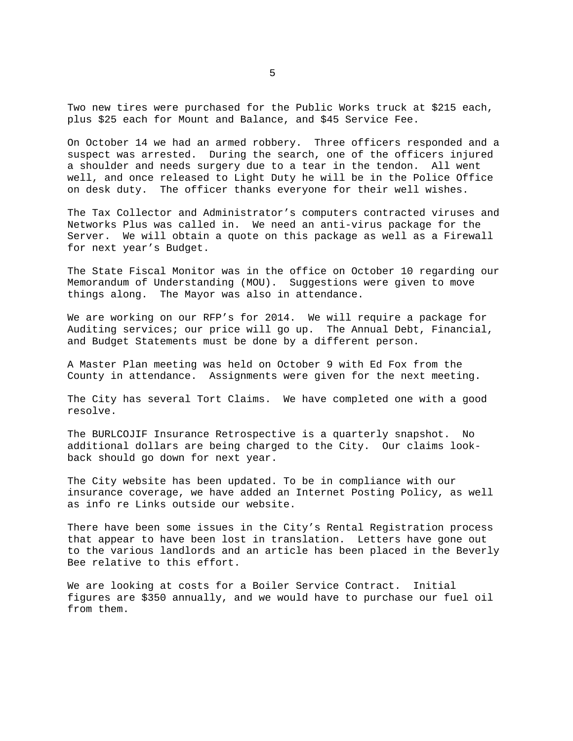Two new tires were purchased for the Public Works truck at \$215 each, plus \$25 each for Mount and Balance, and \$45 Service Fee.

On October 14 we had an armed robbery. Three officers responded and a suspect was arrested. During the search, one of the officers injured a shoulder and needs surgery due to a tear in the tendon. All went well, and once released to Light Duty he will be in the Police Office on desk duty. The officer thanks everyone for their well wishes.

The Tax Collector and Administrator's computers contracted viruses and Networks Plus was called in. We need an anti-virus package for the Server. We will obtain a quote on this package as well as a Firewall for next year's Budget.

The State Fiscal Monitor was in the office on October 10 regarding our Memorandum of Understanding (MOU). Suggestions were given to move things along. The Mayor was also in attendance.

We are working on our RFP's for 2014. We will require a package for Auditing services; our price will go up. The Annual Debt, Financial, and Budget Statements must be done by a different person.

A Master Plan meeting was held on October 9 with Ed Fox from the County in attendance. Assignments were given for the next meeting.

The City has several Tort Claims. We have completed one with a good resolve.

The BURLCOJIF Insurance Retrospective is a quarterly snapshot. No additional dollars are being charged to the City. Our claims lookback should go down for next year.

The City website has been updated. To be in compliance with our insurance coverage, we have added an Internet Posting Policy, as well as info re Links outside our website.

There have been some issues in the City's Rental Registration process that appear to have been lost in translation. Letters have gone out to the various landlords and an article has been placed in the Beverly Bee relative to this effort.

We are looking at costs for a Boiler Service Contract. Initial figures are \$350 annually, and we would have to purchase our fuel oil from them.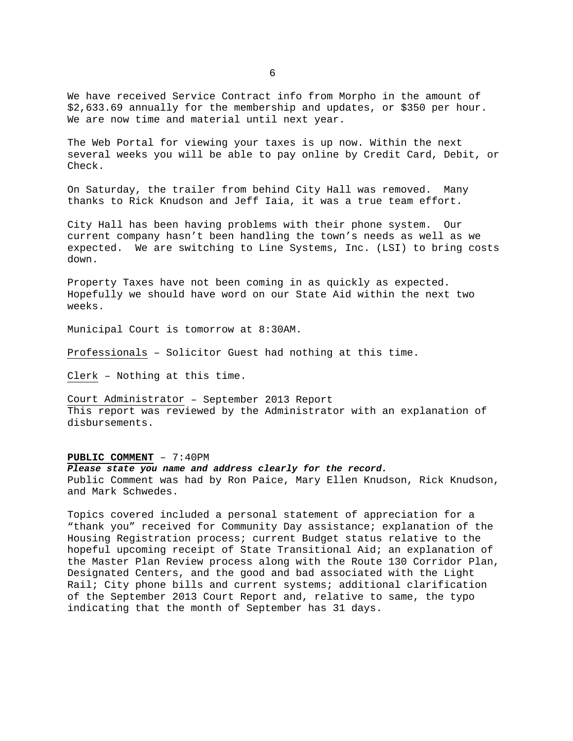We have received Service Contract info from Morpho in the amount of \$2,633.69 annually for the membership and updates, or \$350 per hour. We are now time and material until next year.

The Web Portal for viewing your taxes is up now. Within the next several weeks you will be able to pay online by Credit Card, Debit, or Check.

On Saturday, the trailer from behind City Hall was removed. Many thanks to Rick Knudson and Jeff Iaia, it was a true team effort.

City Hall has been having problems with their phone system. Our current company hasn't been handling the town's needs as well as we expected. We are switching to Line Systems, Inc. (LSI) to bring costs down.

Property Taxes have not been coming in as quickly as expected. Hopefully we should have word on our State Aid within the next two weeks.

Municipal Court is tomorrow at 8:30AM.

Professionals – Solicitor Guest had nothing at this time.

Clerk – Nothing at this time.

Court Administrator – September 2013 Report This report was reviewed by the Administrator with an explanation of disbursements.

## **PUBLIC COMMENT** – 7:40PM

*Please state you name and address clearly for the record.*  Public Comment was had by Ron Paice, Mary Ellen Knudson, Rick Knudson, and Mark Schwedes.

Topics covered included a personal statement of appreciation for a "thank you" received for Community Day assistance; explanation of the Housing Registration process; current Budget status relative to the hopeful upcoming receipt of State Transitional Aid; an explanation of the Master Plan Review process along with the Route 130 Corridor Plan, Designated Centers, and the good and bad associated with the Light Rail; City phone bills and current systems; additional clarification of the September 2013 Court Report and, relative to same, the typo indicating that the month of September has 31 days.